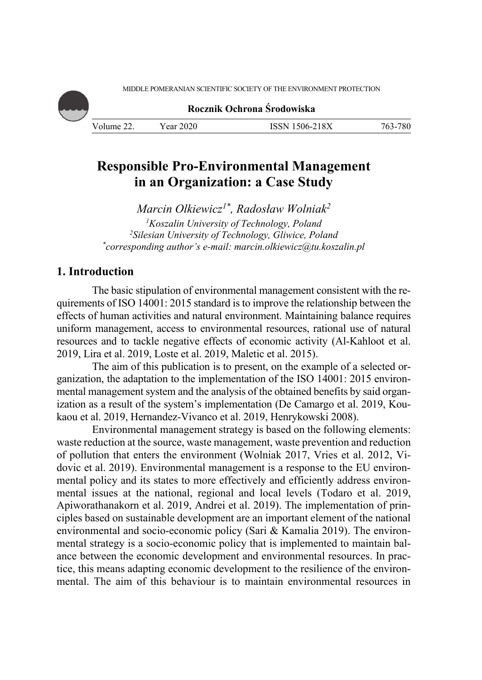MIDDLE POMERANIAN SCIENTIFIC SOCIETY OF THE ENVIRONMENT PROTECTION

**Rocznik Ochrona Środowiska**

Volume 22. Year 2020 ISSN 1506-218X 763-780

# **Responsible Pro-Environmental Management in an Organization: a Case Study**

*Marcin Olkiewicz1\*, Radosław Wolniak2* <sup>1</sup> *Koszalin University of Technology, Poland* <sup>2</sup> *Silesian University of Technology, Gliwice, Poland Silesian University of Technology, Gliwice, Poland \* corresponding author's e-mail: marcin.olkiewicz@tu.koszalin.pl*

## **1. Introduction**

The basic stipulation of environmental management consistent with the requirements of ISO 14001: 2015 standard is to improve the relationship between the effects of human activities and natural environment. Maintaining balance requires uniform management, access to environmental resources, rational use of natural resources and to tackle negative effects of economic activity (Al-Kahloot et al. 2019, Lira et al. 2019, Loste et al. 2019, Maletic et al. 2015).

The aim of this publication is to present, on the example of a selected organization, the adaptation to the implementation of the ISO 14001: 2015 environmental management system and the analysis of the obtained benefits by said organization as a result of the system's implementation (De Camargo et al. 2019, Koukaou et al. 2019, Hernandez-Vivanco et al. 2019, Henrykowski 2008).

Environmental management strategy is based on the following elements: waste reduction at the source, waste management, waste prevention and reduction of pollution that enters the environment (Wolniak 2017, Vries et al. 2012, Vidovic et al. 2019). Environmental management is a response to the EU environmental policy and its states to more effectively and efficiently address environmental issues at the national, regional and local levels (Todaro et al. 2019, Apiworathanakorn et al. 2019, Andrei et al. 2019). The implementation of principles based on sustainable development are an important element of the national environmental and socio-economic policy (Sari & Kamalia 2019). The environmental strategy is a socio-economic policy that is implemented to maintain balance between the economic development and environmental resources. In practice, this means adapting economic development to the resilience of the environmental. The aim of this behaviour is to maintain environmental resources in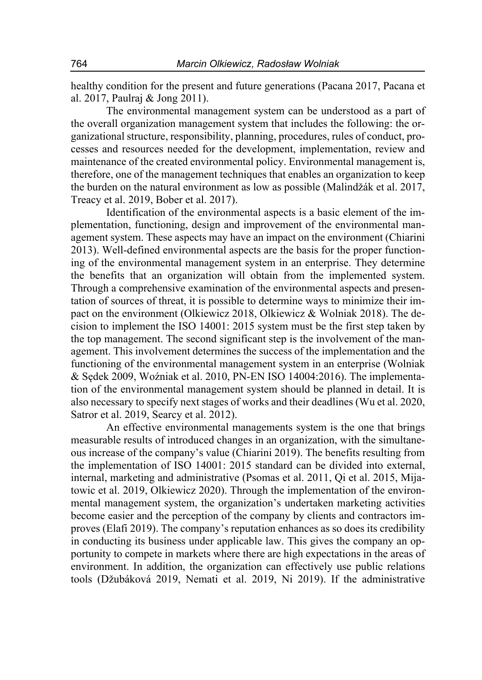healthy condition for the present and future generations (Pacana 2017, Pacana et al. 2017, Paulraj & Jong 2011).

The environmental management system can be understood as a part of the overall organization management system that includes the following: the organizational structure, responsibility, planning, procedures, rules of conduct, processes and resources needed for the development, implementation, review and maintenance of the created environmental policy. Environmental management is, therefore, one of the management techniques that enables an organization to keep the burden on the natural environment as low as possible (Malindžák et al. 2017, Treacy et al. 2019, Bober et al. 2017).

Identification of the environmental aspects is a basic element of the implementation, functioning, design and improvement of the environmental management system. These aspects may have an impact on the environment (Chiarini 2013). Well-defined environmental aspects are the basis for the proper functioning of the environmental management system in an enterprise. They determine the benefits that an organization will obtain from the implemented system. Through a comprehensive examination of the environmental aspects and presentation of sources of threat, it is possible to determine ways to minimize their impact on the environment (Olkiewicz 2018, Olkiewicz & Wolniak 2018). The decision to implement the ISO 14001: 2015 system must be the first step taken by the top management. The second significant step is the involvement of the management. This involvement determines the success of the implementation and the functioning of the environmental management system in an enterprise (Wolniak & Sędek 2009, Woźniak et al. 2010, PN-EN ISO 14004:2016). The implementation of the environmental management system should be planned in detail. It is also necessary to specify next stages of works and their deadlines (Wu et al. 2020, Satror et al. 2019, Searcy et al. 2012).

An effective environmental managements system is the one that brings measurable results of introduced changes in an organization, with the simultaneous increase of the company's value (Chiarini 2019). The benefits resulting from the implementation of ISO 14001: 2015 standard can be divided into external, internal, marketing and administrative (Psomas et al. 2011, Qi et al. 2015, Mijatowic et al. 2019, Olkiewicz 2020). Through the implementation of the environmental management system, the organization's undertaken marketing activities become easier and the perception of the company by clients and contractors improves (Elafi 2019). The company's reputation enhances as so does its credibility in conducting its business under applicable law. This gives the company an opportunity to compete in markets where there are high expectations in the areas of environment. In addition, the organization can effectively use public relations tools (Džubáková 2019, Nemati et al. 2019, Ni 2019). If the administrative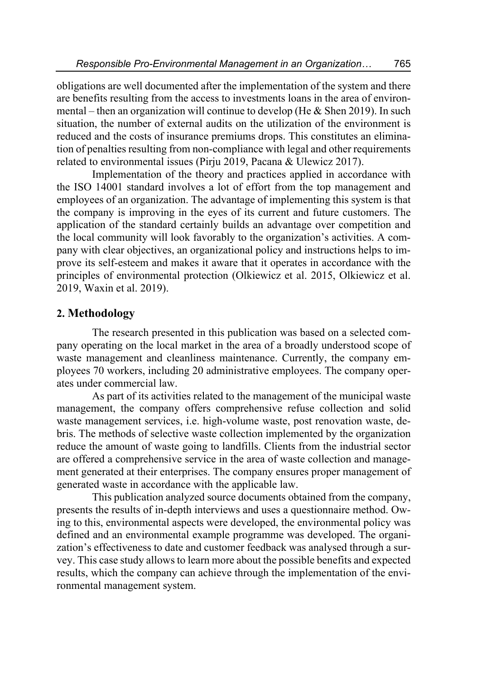obligations are well documented after the implementation of the system and there are benefits resulting from the access to investments loans in the area of environmental – then an organization will continue to develop (He  $&$  Shen 2019). In such situation, the number of external audits on the utilization of the environment is reduced and the costs of insurance premiums drops. This constitutes an elimination of penalties resulting from non-compliance with legal and other requirements related to environmental issues (Pirju 2019, Pacana & Ulewicz 2017).

Implementation of the theory and practices applied in accordance with the ISO 14001 standard involves a lot of effort from the top management and employees of an organization. The advantage of implementing this system is that the company is improving in the eyes of its current and future customers. The application of the standard certainly builds an advantage over competition and the local community will look favorably to the organization's activities. A company with clear objectives, an organizational policy and instructions helps to improve its self-esteem and makes it aware that it operates in accordance with the principles of environmental protection (Olkiewicz et al. 2015, Olkiewicz et al. 2019, Waxin et al. 2019).

### **2. Methodology**

The research presented in this publication was based on a selected company operating on the local market in the area of a broadly understood scope of waste management and cleanliness maintenance. Currently, the company employees 70 workers, including 20 administrative employees. The company operates under commercial law.

As part of its activities related to the management of the municipal waste management, the company offers comprehensive refuse collection and solid waste management services, i.e. high-volume waste, post renovation waste, debris. The methods of selective waste collection implemented by the organization reduce the amount of waste going to landfills. Clients from the industrial sector are offered a comprehensive service in the area of waste collection and management generated at their enterprises. The company ensures proper management of generated waste in accordance with the applicable law.

This publication analyzed source documents obtained from the company, presents the results of in-depth interviews and uses a questionnaire method. Owing to this, environmental aspects were developed, the environmental policy was defined and an environmental example programme was developed. The organization's effectiveness to date and customer feedback was analysed through a survey. This case study allows to learn more about the possible benefits and expected results, which the company can achieve through the implementation of the environmental management system.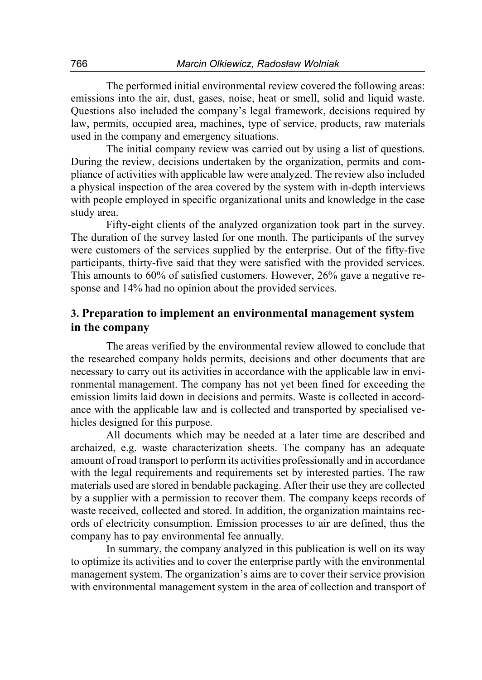The performed initial environmental review covered the following areas: emissions into the air, dust, gases, noise, heat or smell, solid and liquid waste. Questions also included the company's legal framework, decisions required by law, permits, occupied area, machines, type of service, products, raw materials used in the company and emergency situations.

The initial company review was carried out by using a list of questions. During the review, decisions undertaken by the organization, permits and compliance of activities with applicable law were analyzed. The review also included a physical inspection of the area covered by the system with in-depth interviews with people employed in specific organizational units and knowledge in the case study area.

Fifty-eight clients of the analyzed organization took part in the survey. The duration of the survey lasted for one month. The participants of the survey were customers of the services supplied by the enterprise. Out of the fifty-five participants, thirty-five said that they were satisfied with the provided services. This amounts to 60% of satisfied customers. However, 26% gave a negative response and 14% had no opinion about the provided services.

### **3. Preparation to implement an environmental management system in the company**

The areas verified by the environmental review allowed to conclude that the researched company holds permits, decisions and other documents that are necessary to carry out its activities in accordance with the applicable law in environmental management. The company has not yet been fined for exceeding the emission limits laid down in decisions and permits. Waste is collected in accordance with the applicable law and is collected and transported by specialised vehicles designed for this purpose.

All documents which may be needed at a later time are described and archaized, e.g. waste characterization sheets. The company has an adequate amount of road transport to perform its activities professionally and in accordance with the legal requirements and requirements set by interested parties. The raw materials used are stored in bendable packaging. After their use they are collected by a supplier with a permission to recover them. The company keeps records of waste received, collected and stored. In addition, the organization maintains records of electricity consumption. Emission processes to air are defined, thus the company has to pay environmental fee annually.

In summary, the company analyzed in this publication is well on its way to optimize its activities and to cover the enterprise partly with the environmental management system. The organization's aims are to cover their service provision with environmental management system in the area of collection and transport of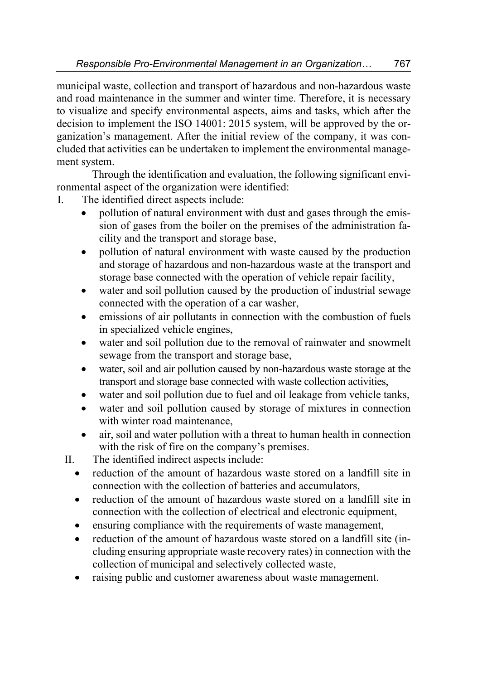municipal waste, collection and transport of hazardous and non-hazardous waste and road maintenance in the summer and winter time. Therefore, it is necessary to visualize and specify environmental aspects, aims and tasks, which after the decision to implement the ISO 14001: 2015 system, will be approved by the organization's management. After the initial review of the company, it was concluded that activities can be undertaken to implement the environmental management system.

Through the identification and evaluation, the following significant environmental aspect of the organization were identified:

- I. The identified direct aspects include:
	- pollution of natural environment with dust and gases through the emission of gases from the boiler on the premises of the administration facility and the transport and storage base,
	- pollution of natural environment with waste caused by the production and storage of hazardous and non-hazardous waste at the transport and storage base connected with the operation of vehicle repair facility,
	- water and soil pollution caused by the production of industrial sewage connected with the operation of a car washer,
	- emissions of air pollutants in connection with the combustion of fuels in specialized vehicle engines,
	- water and soil pollution due to the removal of rainwater and snowmelt sewage from the transport and storage base,
	- water, soil and air pollution caused by non-hazardous waste storage at the transport and storage base connected with waste collection activities,
	- water and soil pollution due to fuel and oil leakage from vehicle tanks,
	- water and soil pollution caused by storage of mixtures in connection with winter road maintenance.
	- air, soil and water pollution with a threat to human health in connection with the risk of fire on the company's premises.
	- II. The identified indirect aspects include:
		- reduction of the amount of hazardous waste stored on a landfill site in connection with the collection of batteries and accumulators,
		- reduction of the amount of hazardous waste stored on a landfill site in connection with the collection of electrical and electronic equipment,
		- ensuring compliance with the requirements of waste management,
		- reduction of the amount of hazardous waste stored on a landfill site (including ensuring appropriate waste recovery rates) in connection with the collection of municipal and selectively collected waste,
		- raising public and customer awareness about waste management.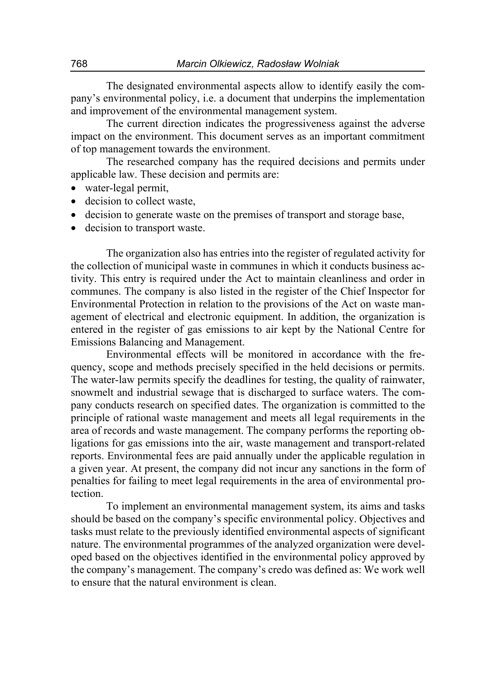The designated environmental aspects allow to identify easily the company's environmental policy, i.e. a document that underpins the implementation and improvement of the environmental management system.

The current direction indicates the progressiveness against the adverse impact on the environment. This document serves as an important commitment of top management towards the environment.

The researched company has the required decisions and permits under applicable law. These decision and permits are:

- water-legal permit,
- decision to collect waste.
- decision to generate waste on the premises of transport and storage base,
- decision to transport waste.

The organization also has entries into the register of regulated activity for the collection of municipal waste in communes in which it conducts business activity. This entry is required under the Act to maintain cleanliness and order in communes. The company is also listed in the register of the Chief Inspector for Environmental Protection in relation to the provisions of the Act on waste management of electrical and electronic equipment. In addition, the organization is entered in the register of gas emissions to air kept by the National Centre for Emissions Balancing and Management.

Environmental effects will be monitored in accordance with the frequency, scope and methods precisely specified in the held decisions or permits. The water-law permits specify the deadlines for testing, the quality of rainwater, snowmelt and industrial sewage that is discharged to surface waters. The company conducts research on specified dates. The organization is committed to the principle of rational waste management and meets all legal requirements in the area of records and waste management. The company performs the reporting obligations for gas emissions into the air, waste management and transport-related reports. Environmental fees are paid annually under the applicable regulation in a given year. At present, the company did not incur any sanctions in the form of penalties for failing to meet legal requirements in the area of environmental protection.

To implement an environmental management system, its aims and tasks should be based on the company's specific environmental policy. Objectives and tasks must relate to the previously identified environmental aspects of significant nature. The environmental programmes of the analyzed organization were developed based on the objectives identified in the environmental policy approved by the company's management. The company's credo was defined as: We work well to ensure that the natural environment is clean.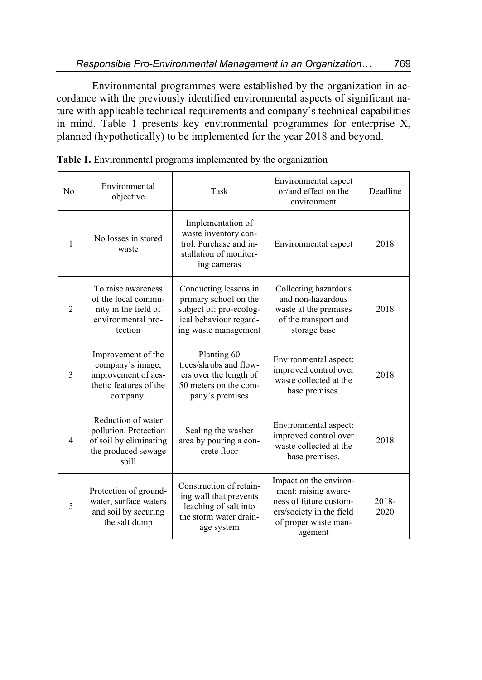Environmental programmes were established by the organization in accordance with the previously identified environmental aspects of significant nature with applicable technical requirements and company's technical capabilities in mind. Table 1 presents key environmental programmes for enterprise X, planned (hypothetically) to be implemented for the year 2018 and beyond.

| No             | Environmental<br>objective                                                                            | Task                                                                                                                        | Environmental aspect<br>or/and effect on the<br>environment                                                                             | Deadline      |
|----------------|-------------------------------------------------------------------------------------------------------|-----------------------------------------------------------------------------------------------------------------------------|-----------------------------------------------------------------------------------------------------------------------------------------|---------------|
| $\mathbf{1}$   | No losses in stored<br>waste                                                                          | Implementation of<br>waste inventory con-<br>trol. Purchase and in-<br>stallation of monitor-<br>ing cameras                | Environmental aspect                                                                                                                    | 2018          |
| $\overline{2}$ | To raise awareness<br>of the local commu-<br>nity in the field of<br>environmental pro-<br>tection    | Conducting lessons in<br>primary school on the<br>subject of: pro-ecolog-<br>ical behaviour regard-<br>ing waste management | Collecting hazardous<br>and non-hazardous<br>waste at the premises<br>of the transport and<br>storage base                              | 2018          |
| 3              | Improvement of the<br>company's image,<br>improvement of aes-<br>thetic features of the<br>company.   | Planting 60<br>trees/shrubs and flow-<br>ers over the length of<br>50 meters on the com-<br>pany's premises                 | Environmental aspect:<br>improved control over<br>waste collected at the<br>base premises.                                              | 2018          |
| $\overline{4}$ | Reduction of water<br>pollution. Protection<br>of soil by eliminating<br>the produced sewage<br>spill | Sealing the washer<br>area by pouring a con-<br>crete floor                                                                 | Environmental aspect:<br>improved control over<br>waste collected at the<br>base premises.                                              | 2018          |
| 5              | Protection of ground-<br>water, surface waters<br>and soil by securing<br>the salt dump               | Construction of retain-<br>ing wall that prevents<br>leaching of salt into<br>the storm water drain-<br>age system          | Impact on the environ-<br>ment: raising aware-<br>ness of future custom-<br>ers/society in the field<br>of proper waste man-<br>agement | 2018-<br>2020 |

**Table 1.** Environmental programs implemented by the organization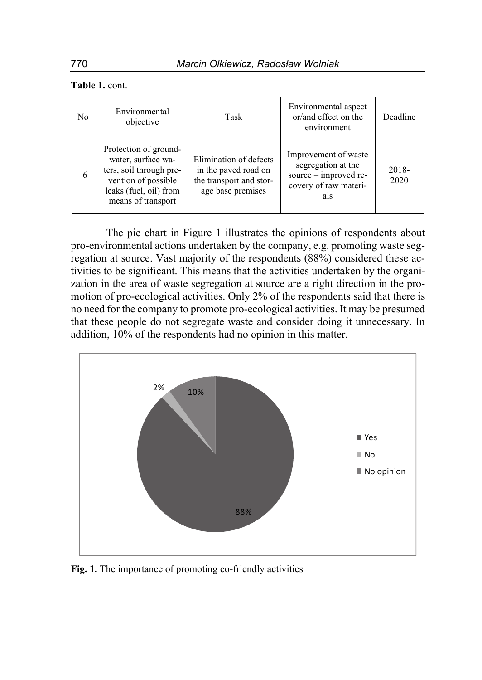| No | Environmental<br>objective                                                                                                                    | Task                                                                                           | Environmental aspect<br>or/and effect on the<br>environment                                         | Deadline      |
|----|-----------------------------------------------------------------------------------------------------------------------------------------------|------------------------------------------------------------------------------------------------|-----------------------------------------------------------------------------------------------------|---------------|
| 6  | Protection of ground-<br>water, surface wa-<br>ters, soil through pre-<br>vention of possible<br>leaks (fuel, oil) from<br>means of transport | Elimination of defects<br>in the paved road on<br>the transport and stor-<br>age base premises | Improvement of waste<br>segregation at the<br>source - improved re-<br>covery of raw materi-<br>als | 2018-<br>2020 |

The pie chart in Figure 1 illustrates the opinions of respondents about pro-environmental actions undertaken by the company, e.g. promoting waste segregation at source. Vast majority of the respondents (88%) considered these activities to be significant. This means that the activities undertaken by the organization in the area of waste segregation at source are a right direction in the promotion of pro-ecological activities. Only 2% of the respondents said that there is no need for the company to promote pro-ecological activities. It may be presumed that these people do not segregate waste and consider doing it unnecessary. In addition, 10% of the respondents had no opinion in this matter.



**Fig. 1.** The importance of promoting co-friendly activities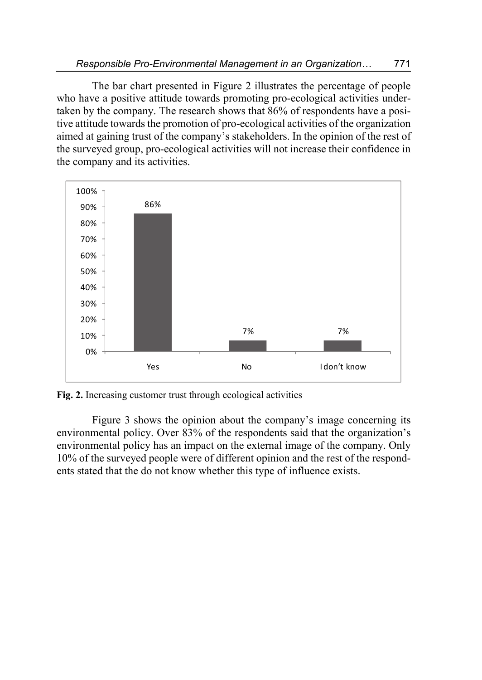The bar chart presented in Figure 2 illustrates the percentage of people who have a positive attitude towards promoting pro-ecological activities undertaken by the company. The research shows that 86% of respondents have a positive attitude towards the promotion of pro-ecological activities of the organization aimed at gaining trust of the company's stakeholders. In the opinion of the rest of the surveyed group, pro-ecological activities will not increase their confidence in the company and its activities.



**Fig. 2.** Increasing customer trust through ecological activities

Figure 3 shows the opinion about the company's image concerning its environmental policy. Over 83% of the respondents said that the organization's environmental policy has an impact on the external image of the company. Only 10% of the surveyed people were of different opinion and the rest of the respondents stated that the do not know whether this type of influence exists.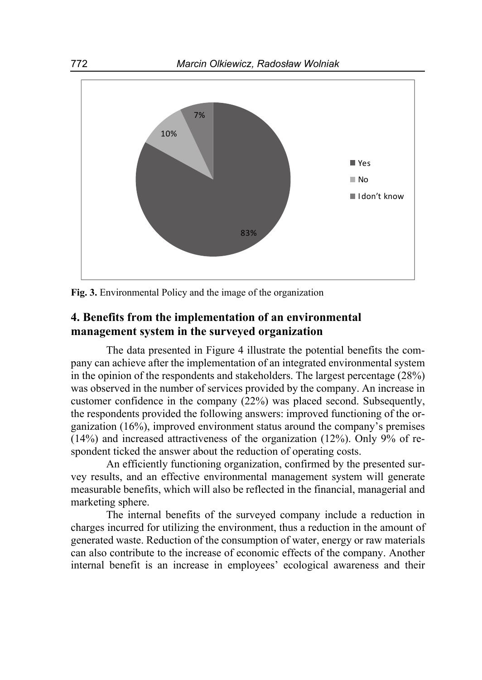

**Fig. 3.** Environmental Policy and the image of the organization

# **4. Benefits from the implementation of an environmental management system in the surveyed organization**

The data presented in Figure 4 illustrate the potential benefits the company can achieve after the implementation of an integrated environmental system in the opinion of the respondents and stakeholders. The largest percentage (28%) was observed in the number of services provided by the company. An increase in customer confidence in the company (22%) was placed second. Subsequently, the respondents provided the following answers: improved functioning of the organization (16%), improved environment status around the company's premises (14%) and increased attractiveness of the organization (12%). Only 9% of respondent ticked the answer about the reduction of operating costs.

An efficiently functioning organization, confirmed by the presented survey results, and an effective environmental management system will generate measurable benefits, which will also be reflected in the financial, managerial and marketing sphere.

The internal benefits of the surveyed company include a reduction in charges incurred for utilizing the environment, thus a reduction in the amount of generated waste. Reduction of the consumption of water, energy or raw materials can also contribute to the increase of economic effects of the company. Another internal benefit is an increase in employees' ecological awareness and their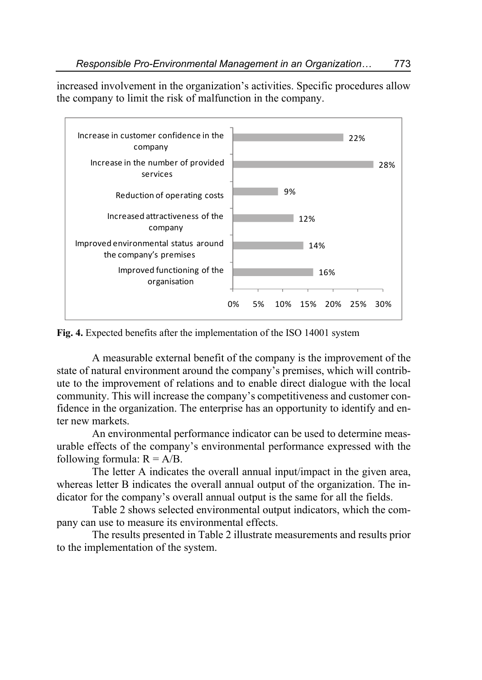increased involvement in the organization's activities. Specific procedures allow the company to limit the risk of malfunction in the company.



**Fig. 4.** Expected benefits after the implementation of the ISO 14001 system

A measurable external benefit of the company is the improvement of the state of natural environment around the company's premises, which will contribute to the improvement of relations and to enable direct dialogue with the local community. This will increase the company's competitiveness and customer confidence in the organization. The enterprise has an opportunity to identify and enter new markets.

An environmental performance indicator can be used to determine measurable effects of the company's environmental performance expressed with the following formula:  $R = A/B$ .

The letter A indicates the overall annual input/impact in the given area, whereas letter B indicates the overall annual output of the organization. The indicator for the company's overall annual output is the same for all the fields.

Table 2 shows selected environmental output indicators, which the company can use to measure its environmental effects.

The results presented in Table 2 illustrate measurements and results prior to the implementation of the system.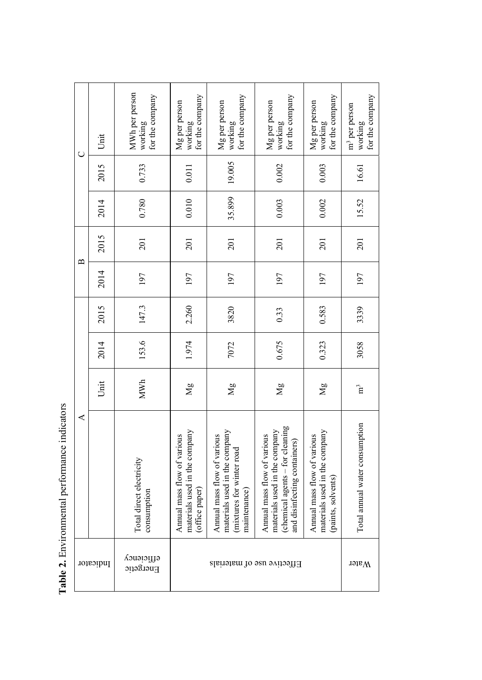| $\cup$            | Unit | MWh per person<br>for the company<br>working | for the company<br>Mg per person<br>working                                    | for the company<br>Mg per person<br>working                                                              | for the company<br>Mg per person<br>working                                                                                     | for the company<br>Mg per person<br>working                                        | for the company<br>m <sup>3</sup> per person<br>working |
|-------------------|------|----------------------------------------------|--------------------------------------------------------------------------------|----------------------------------------------------------------------------------------------------------|---------------------------------------------------------------------------------------------------------------------------------|------------------------------------------------------------------------------------|---------------------------------------------------------|
|                   | 2015 | 0.733                                        | 0.011                                                                          | 19.005                                                                                                   | 0.002                                                                                                                           | 0.003                                                                              | 16.61                                                   |
|                   | 2014 | 0.780                                        | 0.010                                                                          | 35.899                                                                                                   | 0.003                                                                                                                           | 0.002                                                                              | 15.52                                                   |
| $\mathbf{\Omega}$ | 2015 | 201                                          | 201                                                                            | 201                                                                                                      | 201                                                                                                                             | 201                                                                                | 201                                                     |
|                   | 2014 | 197                                          | 197                                                                            | 197                                                                                                      | 197                                                                                                                             | 197                                                                                | 197                                                     |
| ⋖                 | 2015 | 147.3                                        | 2.260                                                                          | 3820                                                                                                     | 0.33                                                                                                                            | 0.583                                                                              | 3339                                                    |
|                   | 2014 | 153.6                                        | 1.974                                                                          | 7072                                                                                                     | 0.675                                                                                                                           | 0.323                                                                              | 3058                                                    |
|                   | Unit | MWh                                          | $\overline{Mg}$                                                                | $\overline{M}$                                                                                           | $\mathbb{N}_{g}$                                                                                                                | Mg                                                                                 | ិដ                                                      |
|                   |      | Total direct electricity<br>consumption      | materials used in the company<br>Annual mass flow of various<br>(office paper) | materials used in the company<br>Annual mass flow of various<br>mixtures for winter road<br>maintenance) | (chemical agents - for cleaning<br>materials used in the company<br>Annual mass flow of various<br>and disinfecting containers) | materials used in the company<br>Annual mass flow of various<br>(paints, solvents) | Total annual water consumption                          |
| Indicator         |      | etficiency<br>Energetic                      | Effective use of materials                                                     |                                                                                                          |                                                                                                                                 | <b>Water</b>                                                                       |                                                         |

┙

Table 2. Environmental performance indicators **Table 2.** Environmental performance indicators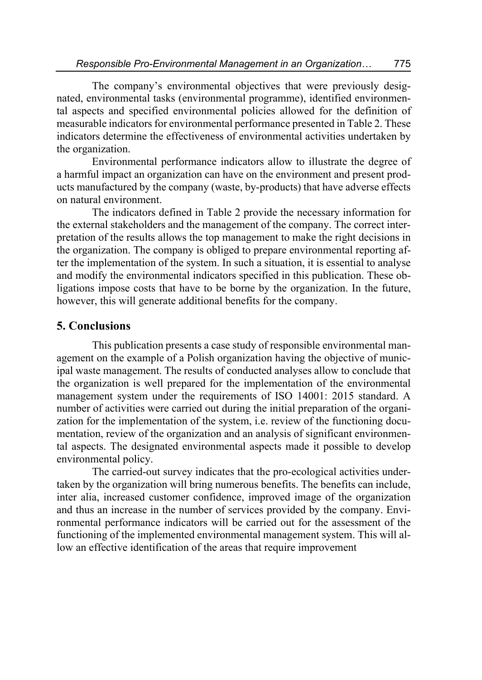The company's environmental objectives that were previously designated, environmental tasks (environmental programme), identified environmental aspects and specified environmental policies allowed for the definition of measurable indicators for environmental performance presented in Table 2. These indicators determine the effectiveness of environmental activities undertaken by the organization.

Environmental performance indicators allow to illustrate the degree of a harmful impact an organization can have on the environment and present products manufactured by the company (waste, by-products) that have adverse effects on natural environment.

The indicators defined in Table 2 provide the necessary information for the external stakeholders and the management of the company. The correct interpretation of the results allows the top management to make the right decisions in the organization. The company is obliged to prepare environmental reporting after the implementation of the system. In such a situation, it is essential to analyse and modify the environmental indicators specified in this publication. These obligations impose costs that have to be borne by the organization. In the future, however, this will generate additional benefits for the company.

### **5. Conclusions**

This publication presents a case study of responsible environmental management on the example of a Polish organization having the objective of municipal waste management. The results of conducted analyses allow to conclude that the organization is well prepared for the implementation of the environmental management system under the requirements of ISO 14001: 2015 standard. A number of activities were carried out during the initial preparation of the organization for the implementation of the system, i.e. review of the functioning documentation, review of the organization and an analysis of significant environmental aspects. The designated environmental aspects made it possible to develop environmental policy.

The carried-out survey indicates that the pro-ecological activities undertaken by the organization will bring numerous benefits. The benefits can include, inter alia, increased customer confidence, improved image of the organization and thus an increase in the number of services provided by the company. Environmental performance indicators will be carried out for the assessment of the functioning of the implemented environmental management system. This will allow an effective identification of the areas that require improvement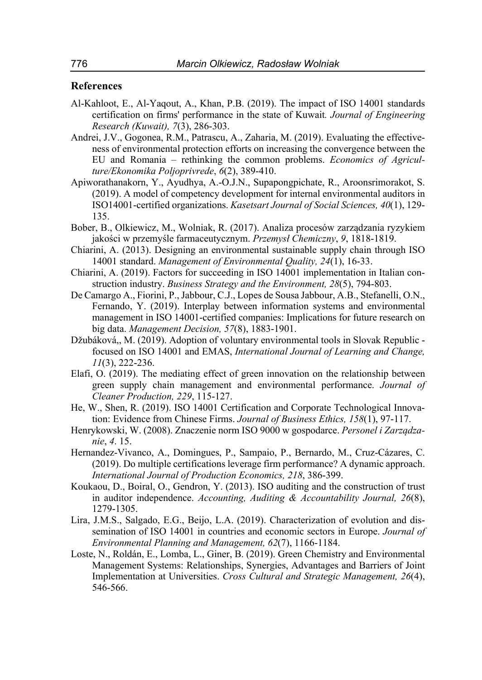#### **References**

- Al-Kahloot, E., Al-Yaqout, A., Khan, P.B. (2019). The impact of ISO 14001 standards certification on firms' performance in the state of Kuwait*. Journal of Engineering Research (Kuwait), 7*(3), 286-303.
- Andrei, J.V., Gogonea, R.M., Patrascu, A., Zaharia, M. (2019). Evaluating the effectiveness of environmental protection efforts on increasing the convergence between the EU and Romania – rethinking the common problems. *Economics of Agriculture/Ekonomika Poljoprivrede*, *6*(2), 389-410.
- Apiworathanakorn, Y., Ayudhya, A.-O.J.N., Supapongpichate, R., Aroonsrimorakot, S. (2019). A model of competency development for internal environmental auditors in ISO14001-certified organizations. *Kasetsart Journal of Social Sciences, 40*(1), 129- 135.
- Bober, B., Olkiewicz, M., Wolniak, R. (2017). Analiza procesów zarządzania ryzykiem jakości w przemyśle farmaceutycznym. *Przemysł Chemiczny*, *9*, 1818-1819.
- Chiarini, A. (2013). Designing an environmental sustainable supply chain through ISO 14001 standard. *Management of Environmental Quality, 24*(1), 16-33.
- Chiarini, A. (2019). Factors for succeeding in ISO 14001 implementation in Italian construction industry. *Business Strategy and the Environment, 28*(5), 794-803.
- De Camargo A., Fiorini, P., Jabbour, C.J., Lopes de Sousa Jabbour, A.B., Stefanelli, O.N., Fernando, Y. (2019). Interplay between information systems and environmental management in ISO 14001-certified companies: Implications for future research on big data. *Management Decision, 57*(8), 1883-1901.
- Džubáková,, M. (2019). Adoption of voluntary environmental tools in Slovak Republic focused on ISO 14001 and EMAS, *International Journal of Learning and Change, 11*(3), 222-236.
- Elafi, O. (2019). The mediating effect of green innovation on the relationship between green supply chain management and environmental performance. *Journal of Cleaner Production, 229*, 115-127.
- He, W., Shen, R. (2019). ISO 14001 Certification and Corporate Technological Innovation: Evidence from Chinese Firms. *Journal of Business Ethics, 158*(1), 97-117.
- Henrykowski, W. (2008). Znaczenie norm ISO 9000 w gospodarce. *Personel i Zarządzanie*, *4*. 15.
- Hernandez-Vivanco, A., Domingues, P., Sampaio, P., Bernardo, M., Cruz-Cázares, C. (2019). Do multiple certifications leverage firm performance? A dynamic approach. *International Journal of Production Economics, 218*, 386-399.
- Koukaou, D., Boiral, O., Gendron, Y. (2013). ISO auditing and the construction of trust in auditor independence. *Accounting, Auditing & Accountability Journal, 26*(8), 1279-1305.
- Lira, J.M.S., Salgado, E.G., Beijo, L.A. (2019). Characterization of evolution and dissemination of ISO 14001 in countries and economic sectors in Europe. *Journal of Environmental Planning and Management, 62*(7), 1166-1184.
- Loste, N., Roldán, E., Lomba, L., Giner, B. (2019). Green Chemistry and Environmental Management Systems: Relationships, Synergies, Advantages and Barriers of Joint Implementation at Universities. *Cross Cultural and Strategic Management, 26*(4), 546-566.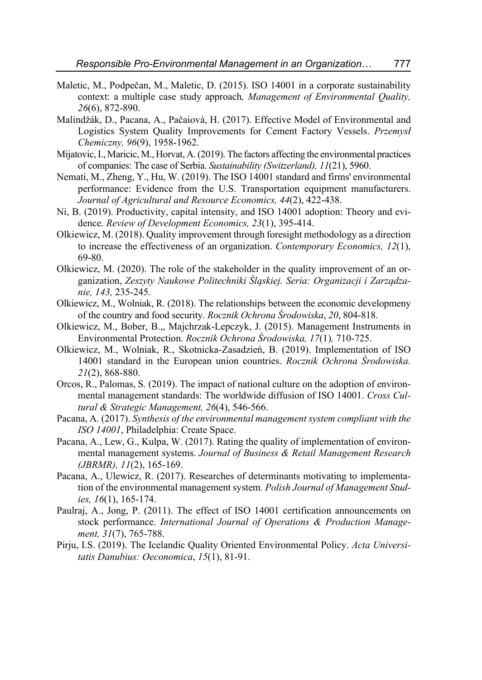- Maletic, M., Podpečan, M., Maletic, D. (2015). ISO 14001 in a corporate sustainability context: a multiple case study approach*, Management of Environmental Quality, 26*(6), 872-890.
- Malindžák, D., Pacana, A., Pačaiová, H. (2017). Effective Model of Environmental and Logistics System Quality Improvements for Cement Factory Vessels. *Przemysł Chemiczny, 96*(9), 1958-1962.
- Mijatovic, I., Maricic, M., Horvat, A. (2019). The factors affecting the environmental practices of companies: The case of Serbia. *Sustainability (Switzerland), 11*(21), 5960.
- Nemati, M., Zheng, Y., Hu, W. (2019). The ISO 14001 standard and firms' environmental performance: Evidence from the U.S. Transportation equipment manufacturers. *Journal of Agricultural and Resource Economics, 44*(2), 422-438.
- Ni, B. (2019). Productivity, capital intensity, and ISO 14001 adoption: Theory and evidence. *Review of Development Economics, 23*(1), 395-414.
- Olkiewicz, M. (2018). Quality improvement through foresight methodology as a direction to increase the effectiveness of an organization. *Contemporary Economics, 12*(1), 69-80.
- Olkiewicz, M. (2020). The role of the stakeholder in the quality improvement of an organization, *Zeszyty Naukowe Politechniki Śląskiej. Seria: Organizacji i Zarządzanie, 143,* 235-245.
- Olkiewicz, M., Wolniak, R. (2018). The relationships between the economic developmeny of the country and food security. *Rocznik Ochrona Środowiska*, *20*, 804-818.
- Olkiewicz, M., Bober, B.,, Majchrzak-Lepczyk, J. (2015). Management Instruments in Environmental Protection. *Rocznik Ochrona Środowiska, 17*(1)*,* 710-725.
- Olkiewicz, M., Wolniak, R., Skotnicka-Zasadzień, B. (2019). Implementation of ISO 14001 standard in the European union countries. *Rocznik Ochrona Środowiska. 21*(2), 868-880.
- Orcos, R., Palomas, S. (2019). The impact of national culture on the adoption of environmental management standards: The worldwide diffusion of ISO 14001. *Cross Cultural & Strategic Management, 26*(4), 546-566.
- Pacana, A. (2017). *Synthesis of the environmental management system compliant with the ISO 14001*, Philadelphia: Create Space.
- Pacana, A., Lew, G., Kulpa, W. (2017). Rating the quality of implementation of environmental management systems. *Journal of Business & Retail Management Research (JBRMR), 11*(2), 165-169.
- Pacana, A., Ulewicz, R. (2017). Researches of determinants motivating to implementation of the environmental management system*. Polish Journal of Management Studies, 16*(1), 165-174.
- Paulraj, A., Jong, P. (2011). The effect of ISO 14001 certification announcements on stock performance. *International Journal of Operations & Production Management, 31*(7), 765-788.
- Pirju, I.S. (2019). The Icelandic Quality Oriented Environmental Policy. *Acta Universitatis Danubius: Oeconomica*, *15*(1), 81-91.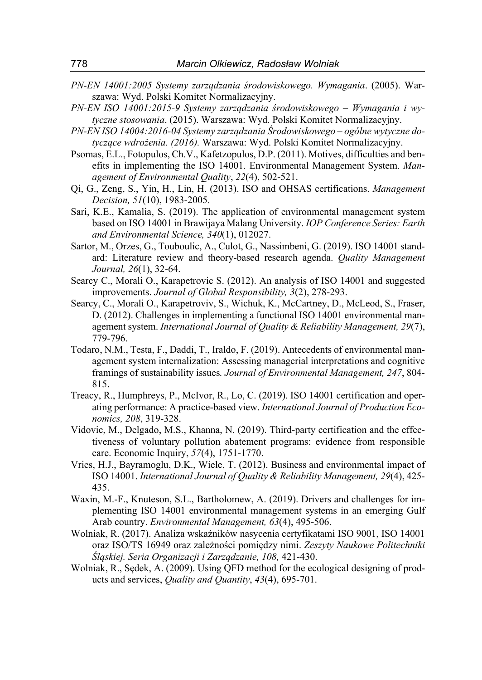- *PN-EN 14001:2005 Systemy zarządzania środowiskowego. Wymagania*. (2005). Warszawa: Wyd. Polski Komitet Normalizacyjny.
- *PN-EN ISO 14001:2015-9 Systemy zarządzania środowiskowego Wymagania i wytyczne stosowania*. (2015). Warszawa: Wyd. Polski Komitet Normalizacyjny.
- *PN-EN ISO 14004:2016-04 Systemy zarządzania Środowiskowego ogólne wytyczne dotyczące wdrożenia. (2016).* Warszawa: Wyd. Polski Komitet Normalizacyjny.
- Psomas, E.L., Fotopulos, Ch.V., Kafetzopulos, D.P. (2011). Motives, difficulties and benefits in implementing the ISO 14001. Environmental Management System. *Management of Environmental Quality*, *22*(4), 502-521.
- Qi, G., Zeng, S., Yin, H., Lin, H. (2013). ISO and OHSAS certifications. *Management Decision, 51*(10), 1983-2005.
- Sari, K.E., Kamalia, S. (2019). The application of environmental management system based on ISO 14001 in Brawijaya Malang University. *IOP Conference Series: Earth and Environmental Science, 340*(1), 012027.
- Sartor, M., Orzes, G., Touboulic, A., Culot, G., Nassimbeni, G. (2019). ISO 14001 standard: Literature review and theory-based research agenda. *Quality Management Journal, 26*(1), 32-64.
- Searcy C., Morali O., Karapetrovic S. (2012). An analysis of ISO 14001 and suggested improvements. *Journal of Global Responsibility, 3*(2), 278-293.
- Searcy, C., Morali O., Karapetroviv, S., Wichuk, K., McCartney, D., McLeod, S., Fraser, D. (2012). Challenges in implementing a functional ISO 14001 environmental management system. *International Journal of Quality & Reliability Management, 29*(7), 779-796.
- Todaro, N.M., Testa, F., Daddi, T., Iraldo, F. (2019). Antecedents of environmental management system internalization: Assessing managerial interpretations and cognitive framings of sustainability issues*. Journal of Environmental Management, 247*, 804- 815.
- Treacy, R., Humphreys, P., McIvor, R., Lo, C. (2019). ISO 14001 certification and operating performance: A practice-based view. *International Journal of Production Economics, 208*, 319-328.
- Vidovic, M., Delgado, M.S., Khanna, N. (2019). Third-party certification and the effectiveness of voluntary pollution abatement programs: evidence from responsible care. Economic Inquiry, *57*(4), 1751-1770.
- Vries, H.J., Bayramoglu, D.K., Wiele, T. (2012). Business and environmental impact of ISO 14001. *International Journal of Quality & Reliability Management, 29*(4), 425- 435.
- Waxin, M.-F., Knuteson, S.L., Bartholomew, A. (2019). Drivers and challenges for implementing ISO 14001 environmental management systems in an emerging Gulf Arab country. *Environmental Management, 63*(4), 495-506.
- Wolniak, R. (2017). Analiza wskaźników nasycenia certyfikatami ISO 9001, ISO 14001 oraz ISO/TS 16949 oraz zależności pomiędzy nimi. *Zeszyty Naukowe Politechniki Śląskiej. Seria Organizacji i Zarządzanie, 108,* 421-430.
- Wolniak, R., Sędek, A. (2009). Using QFD method for the ecological designing of products and services, *Quality and Quantity*, *43*(4), 695-701.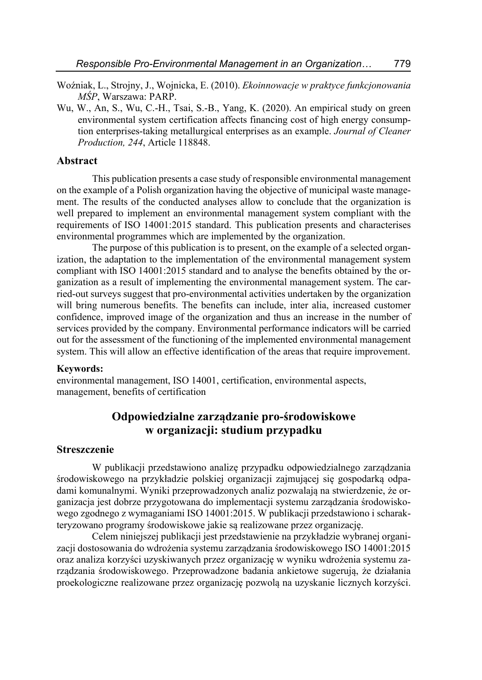- Woźniak, L., Strojny, J., Wojnicka, E. (2010). *Ekoinnowacje w praktyce funkcjonowania MŚP*, Warszawa: PARP.
- Wu, W., An, S., Wu, C.-H., Tsai, S.-B., Yang, K. (2020). An empirical study on green environmental system certification affects financing cost of high energy consumption enterprises-taking metallurgical enterprises as an example. *Journal of Cleaner Production, 244*, Article 118848.

#### **Abstract**

This publication presents a case study of responsible environmental management on the example of a Polish organization having the objective of municipal waste management. The results of the conducted analyses allow to conclude that the organization is well prepared to implement an environmental management system compliant with the requirements of ISO 14001:2015 standard. This publication presents and characterises environmental programmes which are implemented by the organization.

The purpose of this publication is to present, on the example of a selected organization, the adaptation to the implementation of the environmental management system compliant with ISO 14001:2015 standard and to analyse the benefits obtained by the organization as a result of implementing the environmental management system. The carried-out surveys suggest that pro-environmental activities undertaken by the organization will bring numerous benefits. The benefits can include, inter alia, increased customer confidence, improved image of the organization and thus an increase in the number of services provided by the company. Environmental performance indicators will be carried out for the assessment of the functioning of the implemented environmental management system. This will allow an effective identification of the areas that require improvement.

#### **Keywords:**

environmental management, ISO 14001, certification, environmental aspects, management, benefits of certification

### **Odpowiedzialne zarządzanie pro-środowiskowe w organizacji: studium przypadku**

#### **Streszczenie**

W publikacji przedstawiono analizę przypadku odpowiedzialnego zarządzania środowiskowego na przykładzie polskiej organizacji zajmującej się gospodarką odpadami komunalnymi. Wyniki przeprowadzonych analiz pozwalają na stwierdzenie, że organizacja jest dobrze przygotowana do implementacji systemu zarządzania środowiskowego zgodnego z wymaganiami ISO 14001:2015. W publikacji przedstawiono i scharakteryzowano programy środowiskowe jakie są realizowane przez organizację.

Celem niniejszej publikacji jest przedstawienie na przykładzie wybranej organizacji dostosowania do wdrożenia systemu zarządzania środowiskowego ISO 14001:2015 oraz analiza korzyści uzyskiwanych przez organizację w wyniku wdrożenia systemu zarządzania środowiskowego. Przeprowadzone badania ankietowe sugerują, że działania proekologiczne realizowane przez organizację pozwolą na uzyskanie licznych korzyści.